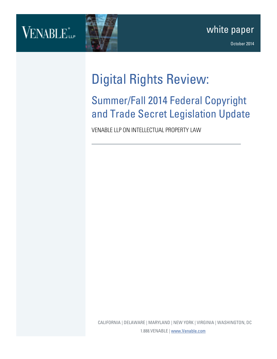## VENABLE.



### Digital Rights Review:

### Summer/Fall 2014 Federal Copyright and Trade Secret Legislation Update

VENABLE LLP ON INTELLECTUAL PROPERTY LAW

CALIFORNIA | DELAWARE | MARYLAND | NEW YORK | VIRGINIA | WASHINGTON, DC 1.888.VENABLE [| www.Venable.com](http://www.venable.com/)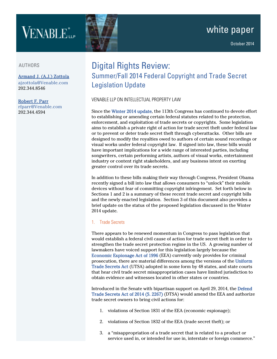# VENABLE<sup>\*</sup>

#### AUTHORS

[Armand J. \(A.J.\) Zottola](http://www.venable.com/armand-j-zottola/)  [ajzottola@Venable.com](mailto:ajzottola@Venable.com) 202.344.8546

#### [Robert F. Parr](http://www.venable.com/robert-f-parr/)

[rfparr@Venable.com](mailto:rfparr@Venable.com) 202.344.4594

### Digital Rights Review: Summer/Fall 2014 Federal Copyright and Trade Secret Legislation Update

#### VENABLE LLP ON INTELLECTUAL PROPERTY LAW

Since th[e Winter 2014 update,](http://www.venable.com/winter-2014-federal-copyright-and-trade-secret-legislation-update-02-19-2014/) the 113th Congress has continued to devote effort to establishing or amending certain federal statutes related to the protection, enforcement, and exploitation of trade secrets or copyrights. Some legislation aims to establish a private right of action for trade secret theft under federal law or to prevent or deter trade secret theft through cyberattacks. Other bills are designed to modify the royalties owed to authors of certain sound recordings or visual works under federal copyright law. If signed into law, these bills would have important implications for a wide range of interested parties, including songwriters, certain performing artists, authors of visual works, entertainment industry or content right stakeholders, and any business intent on exerting greater control over its trade secrets.

In addition to these bills making their way through Congress, President Obama recently signed a bill into law that allows consumers to "unlock" their mobile devices without fear of committing copyright infringement. Set forth below in Sections 1 and 2 is a summary of these recent trade secret and copyright bills and the newly enacted legislation. Section 3 of this document also provides a brief update on the status of the proposed legislation discussed in the Winter 2014 update.

#### 1. Trade Secrets

There appears to be renewed momentum in Congress to pass legislation that would establish a federal civil cause of action for trade secret theft in order to strengthen the trade secret protection regime in the US. A growing number of lawmakers have voiced support for this legislation largely because the [Economic Espionage Act of 1996](https://www.govtrack.us/congress/bills/104/hr3723/text) (EEA) currently only provides for criminal prosecution, there are material differences among the versions of the [Uniform](http://www.uniformlaws.org/shared/docs/trade%20secrets/utsa_final_85.pdf)  [Trade Secrets Act](http://www.uniformlaws.org/shared/docs/trade%20secrets/utsa_final_85.pdf) (UTSA) adopted in some form by 48 states, and state courts that hear civil trade secret misappropriation cases have limited jurisdiction to obtain evidence and witnesses located in other states or countries.

Introduced in the Senate with bipartisan support on April 29, 2014, the [Defend](https://beta.congress.gov/bill/113th-congress/senate-bill/2267/text)  [Trade Secrets Act of 2014 \(S. 2267\)](https://beta.congress.gov/bill/113th-congress/senate-bill/2267/text) (DTSA) would amend the EEA and authorize trade secret owners to bring civil actions for:

- 1. violations of Section 1831 of the EEA (economic espionage);
- 2. violations of Section 1832 of the EEA (trade secret theft); or
- 3. a "misappropriation of a trade secret that is related to a product or service used in, or intended for use in, interstate or foreign commerce."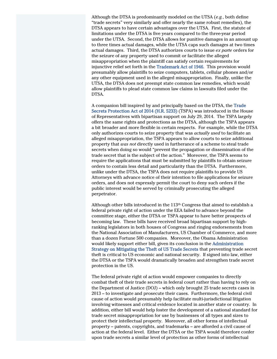Although the DTSA is predominantly modeled on the UTSA (*e.g.*, both define "trade secrets" very similarly and offer nearly the same robust remedies), the DTSA appears to have certain advantages over the UTSA. First, the statute of limitations under the DTSA is five years compared to the three-year period under the UTSA. Second, the DTSA allows for punitive damages in an amount up to three times actual damages, while the UTSA caps such damages at two times actual damages. Third, the DTSA authorizes courts to issue *ex parte* orders for the seizure of any property used to commit or facilitate the alleged misappropriation when the plaintiff can satisfy certain requirements for injunctive relief set forth in the [Trademark Act of 1946.](http://www.uspto.gov/trademarks/law/Trademark_Statutes.pdf) This provision would presumably allow plaintiffs to seize computers, tablets, cellular phones and/or any other equipment used in the alleged misappropriation. Finally, unlike the UTSA, the DTSA does not preempt state common law remedies, which would allow plaintiffs to plead state common law claims in lawsuits filed under the DTSA.

A companion bill inspired by and principally based on the DTSA, the [Trade](https://beta.congress.gov/bill/113th-congress/house-bill/5233?q=%7B%22search%22%3A%5B%22Trade+Secrets+Protection+Act+of+2014%22%5D%7D)  [Secrets Protection Act of 2014 \(H.R. 5233\)](https://beta.congress.gov/bill/113th-congress/house-bill/5233?q=%7B%22search%22%3A%5B%22Trade+Secrets+Protection+Act+of+2014%22%5D%7D) (TSPA) was introduced in the House of Representatives with bipartisan support on July 29, 2014. The TSPA largely offers the same rights and protections as the DTSA, although the TSPA appears a bit broader and more flexible in certain respects. For example, while the DTSA only authorizes courts to seize property that was *actually used* to facilitate an alleged misappropriation, the TSPA appears to allow courts to seize additional property that *was not* directly used in furtherance of a scheme to steal trade secrets when doing so would "prevent the propagation or dissemination of the trade secret that is the subject of the action." Moreover, the TSPA seems to require the applications that must be submitted by plaintiffs to obtain seizure orders to contain less detail and particularity than the DTSA. Furthermore, unlike under the DTSA, the TSPA does not require plaintiffs to provide US Attorneys with advance notice of their intention to file applications for seizure orders, and does not expressly permit the court to deny such orders if the public interest would be served by criminally prosecuting the alleged perpetrator.

Although other bills introduced in the 113th Congress that aimed to establish a federal private right of action under the EEA failed to advance beyond the committee stage, either the DTSA or TSPA appear to have better prospects of becoming law. These bills have received broad bipartisan support by highranking legislators in both houses of Congress and ringing endorsements from the National Association of Manufacturers, US Chamber of Commerce, and more than a dozen Fortune 500 companies. Moreover, the Obama Administration would likely support either bill, given its conclusion in th[e Administration](http://www.whitehouse.gov/sites/default/files/omb/IPEC/admin_strategy_on_mitigating_the_theft_of_u.s._trade_secrets.pdf)  [Strategy on Mitigating the Theft of US Trade Secrets](http://www.whitehouse.gov/sites/default/files/omb/IPEC/admin_strategy_on_mitigating_the_theft_of_u.s._trade_secrets.pdf) that preventing trade secret theft is critical to US economic and national security. If signed into law, either the DTSA or the TSPA would dramatically broaden and strengthen trade secret protection in the US.

The federal private right of action would empower companies to directly combat theft of their trade secrets in federal court rather than having to rely on the Department of Justice (DOJ) – which only brought 25 trade secrets cases in 2013 – to investigate and prosecute their cases. Furthermore, the federal civil cause of action would presumably help facilitate multi-jurisdictional litigation involving witnesses and critical evidence located in another state or country. In addition, either bill would help foster the development of a national standard for trade secret misappropriation for use by businesses of all types and sizes to protect their intellectual property. Moreover, all other forms of intellectual property – patents, copyrights, and trademarks – are afforded a civil cause of action at the federal level. Either the DTSA or the TSPA would therefore confer upon trade secrets a similar level of protection as other forms of intellectual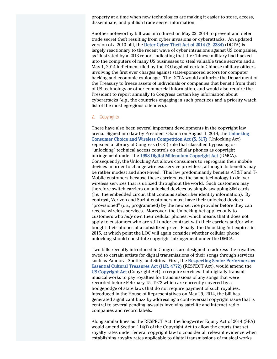property at a time when new technologies are making it easier to store, access, disseminate, and publish trade secret information.

Another noteworthy bill was introduced on May 22, 2014 to prevent and deter trade secret theft resulting from cyber invasions or cyberattacks. An updated version of a 2013 bill, th[e Deter Cyber Theft Act of 2014 \(S. 2384\)](https://www.govtrack.us/congress/bills/113/s2384) (DCTA) is largely reactionary to the recent wave of cyber intrusions against US companies, as illustrated by a 2013 report indicating that the Chinese military had hacked into the computers of many US businesses to steal valuable trade secrets and a May 1, 2014 indictment filed by the DOJ against certain Chinese military officers involving the first ever charges against state-sponsored actors for computer hacking and economic espionage. The DCTA would authorize the Department of the Treasury to freeze assets of individuals or companies that benefit from theft of US technology or other commercial information, and would also require the President to report annually to Congress certain key information about cyberattacks (*e.g.*, the countries engaging in such practices and a priority watch list of the most egregious offenders).

#### 2. Copyrights

There have also been several important developments in the copyright law arena. Signed into law by President Obama on August 1, 2014, the [Unlocking](https://www.govtrack.us/congress/bills/113/s517)  [Consumer Choice and Wireless Competition Act \(S. 517\)](https://www.govtrack.us/congress/bills/113/s517) (Unlocking Act) repealed a Library of Congress (LOC) rule that classified bypassing or "unlocking" technical access controls on cellular phones as copyright infringement under the [1998 Digital Millennium Copyright Act](http://www.copyright.gov/legislation/dmca.pdf) (DMCA). Consequently, the Unlocking Act allows consumers to reprogram their mobile devices in order to change wireless service providers, although its benefits may be rather modest and short-lived. This law predominantly benefits AT&T and T-Mobile customers because these carriers use the same technology to deliver wireless services that is utilized throughout the world. Such customers may therefore switch carriers on unlocked devices by simply swapping SIM cards (*i.e.*, the embedded circuit that contains subscriber identity information). By contrast, Verizon and Sprint customers must have their unlocked devices "provisioned" (*i.e.*, programmed) by the new service provider before they can receive wireless services. Moreover, the Unlocking Act applies only to customers who *fully* own their cellular phones, which means that it does not apply to customers who are still under contract with their carriers and/or who bought their phones at a subsidized price. Finally, the Unlocking Act expires in 2015, at which point the LOC will again consider whether cellular phone unlocking should constitute copyright infringement under the DMCA.

Two bills recently introduced in Congress are designed to address the royalties owed to certain artists for digital transmissions of their songs through services such as Pandora, Spotify, and Sirius. First, the [Respecting Senior Performers as](https://beta.congress.gov/bill/113th-congress/house-bill/4772?q=%7B%22search%22%3A%5B%22Respecting+Senior+Performers%22%5D%7D)  [Essential Cultural Treasures Act \(H.R. 4772\)](https://beta.congress.gov/bill/113th-congress/house-bill/4772?q=%7B%22search%22%3A%5B%22Respecting+Senior+Performers%22%5D%7D) (RESPECT Act), would amend the [US Copyright Act](http://www.copyright.gov/title17/circ92.pdf) (Copyright Act) to require services that digitally transmit musical works to pay royalties for transmissions of any songs that were recorded before February 15, 1972 which are currently covered by a hodgepodge of state laws that do not require payment of such royalties. Introduced in the House of Representatives on May 29, 2014, the bill has generated significant buzz by addressing a controversial copyright issue that is central to several pending lawsuits involving satellite and Internet radio companies and record labels.

Along similar lines as the RESPECT Act, the Songwriter Equity Act of 2014 (SEA) would amend Section 114(i) of the Copyright Act to allow the courts that set royalty rates under federal copyright law to consider all relevant evidence when establishing royalty rates applicable to digital transmissions of musical works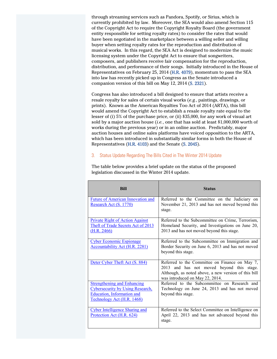through streaming services such as Pandora, Spotify, or Sirius, which is currently prohibited by law. Moreover, the SEA would also amend Section 115 of the Copyright Act to require the Copyright Royalty Board (the government entity responsible for setting royalty rates) to consider the rates that would have been negotiated in the marketplace between a willing seller and willing buyer when setting royalty rates for the reproduction and distribution of musical works. In this regard, the SEA Act is designed to modernize the music licensing system under the Copyright Act to ensure that songwriters, composers, and publishers receive fair compensation for the reproduction, distribution, and performance of their songs. Initially introduced in the House of Representatives on February 25, 2014 [\(H.R. 4079\)](https://beta.congress.gov/bill/113th-congress/house-bill/4079?q=%7B%22search%22%3A%5B%22Songwriter+Equity+Act+of+2014%22%5D%7D), momentum to pass the SEA into law has recently picked up in Congress as the Senate introduced a companion version of this bill on May 12, 2014 [\(S. 2321\)](https://beta.congress.gov/bill/113th-congress/senate-bill/2321?q=%7B%22search%22%3A%5B%22Songwriter+Equity+Act%22%5D%7D).

Congress has also introduced a bill designed to ensure that artists receive a resale royalty for sales of certain visual works (*e.g.*, paintings, drawings, or prints). Known as the American Royalties Too Act of 2014 (ARTA), this bill would amend the Copyright Act to establish a resale royalty rate equal to the lesser of (i) 5% of the purchase price, or (ii) \$35,000, for any work of visual art sold by a major auction house (*i.e.*, one that has sold at least \$1,000,000 worth of works during the previous year) or in an online auction. Predictably, major auction houses and online sales platforms have voiced opposition to the ARTA, which has been introduced in substantially similar forms in both the House of Representatives [\(H.R. 4103\)](https://beta.congress.gov/bill/113th-congress/house-bill/4103?q=%7B%22search%22%3A%5B%22American+Royalties+Act%22%5D%7D) and the Senate [\(S. 2045\)](https://beta.congress.gov/bill/113th-congress/senate-bill/2045?q=%7B%22search%22%3A%5B%22American+Roylaties+Act+Too%22%5D%7D).

#### 3. Status Update Regarding The Bills Cited in The Winter 2014 Update

| <b>Bill</b>                                                                                                                                      | <b>Status</b>                                                                                                                                                                          |
|--------------------------------------------------------------------------------------------------------------------------------------------------|----------------------------------------------------------------------------------------------------------------------------------------------------------------------------------------|
| <b>Future of American Innovation and</b><br>Research Act (S. 1770)                                                                               | Referred to the Committee on the Judiciary on<br>November 21, 2013 and has not moved beyond this<br>stage.                                                                             |
| <b>Private Right of Action Against</b><br>Theft of Trade Secrets Act of 2013<br>(H.R. 2466)                                                      | Referred to the Subcommittee on Crime, Terrorism,<br>Homeland Security, and Investigations on June 20,<br>2013 and has not moved beyond this stage.                                    |
| <b>Cyber Economic Espionage</b><br><b>Accountability Act (H.R. 2281)</b>                                                                         | Referred to the Subcommittee on Immigration and<br>Border Security on June 6, 2013 and has not moved<br>beyond this stage.                                                             |
| Deter Cyber Theft Act (S. 884)                                                                                                                   | Referred to the Committee on Finance on May 7,<br>2013 and has not moved beyond this stage.<br>Although, as noted above, a new version of this bill<br>was introduced on May 22, 2014. |
| <b>Strengthening and Enhancing</b><br><b>Cybersecurity by Using Research,</b><br>Education, Information and<br><u>Technology Act (H.R. 1468)</u> | Referred to the Subcommittee on Research and<br>Technology on June 24, 2013 and has not moved<br>beyond this stage.                                                                    |
| Cyber Intelligence Sharing and<br>Protection Act (H.R. 624)                                                                                      | Referred to the Select Committee on Intelligence on<br>April 22, 2013 and has not advanced beyond this<br>stage.                                                                       |

The table below provides a brief update on the status of the proposed legislation discussed in the Winter 2014 update.